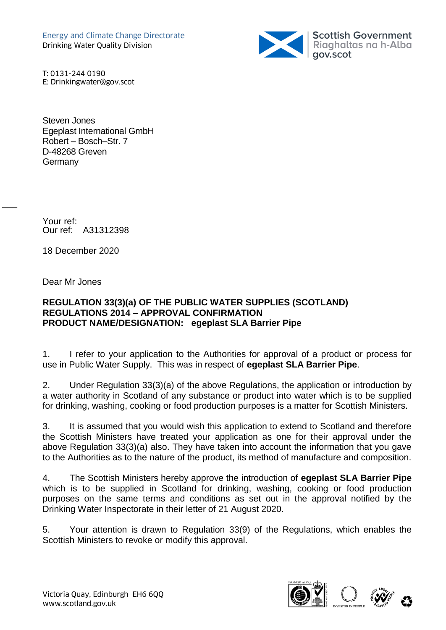

T: 0131-244 0190 E: Drinkingwater@gov.scot

Steven Jones Egeplast International GmbH Robert – Bosch–Str. 7 D-48268 Greven **Germany** 

Your ref: Our ref: A31312398

18 December 2020

Dear Mr Jones

 $\overline{\phantom{a}}$ 

## **REGULATION 33(3)(a) OF THE PUBLIC WATER SUPPLIES (SCOTLAND) REGULATIONS 2014 – APPROVAL CONFIRMATION PRODUCT NAME/DESIGNATION: egeplast SLA Barrier Pipe**

1. I refer to your application to the Authorities for approval of a product or process for use in Public Water Supply. This was in respect of **egeplast SLA Barrier Pipe**.

2. Under Regulation 33(3)(a) of the above Regulations, the application or introduction by a water authority in Scotland of any substance or product into water which is to be supplied for drinking, washing, cooking or food production purposes is a matter for Scottish Ministers.

3. It is assumed that you would wish this application to extend to Scotland and therefore the Scottish Ministers have treated your application as one for their approval under the above Regulation 33(3)(a) also. They have taken into account the information that you gave to the Authorities as to the nature of the product, its method of manufacture and composition.

4. The Scottish Ministers hereby approve the introduction of **egeplast SLA Barrier Pipe** which is to be supplied in Scotland for drinking, washing, cooking or food production purposes on the same terms and conditions as set out in the approval notified by the Drinking Water Inspectorate in their letter of 21 August 2020.

5. Your attention is drawn to Regulation 33(9) of the Regulations, which enables the Scottish Ministers to revoke or modify this approval.